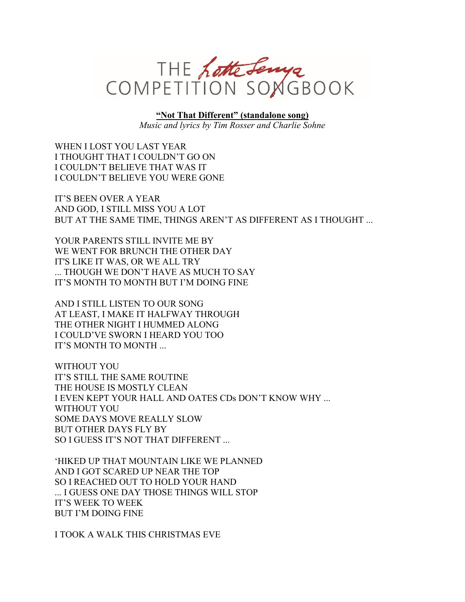

**"Not That Different" (standalone song)**

*Music and lyrics by Tim Rosser and Charlie Sohne*

WHEN I LOST YOU LAST YEAR I THOUGHT THAT I COULDN'T GO ON I COULDN'T BELIEVE THAT WAS IT I COULDN'T BELIEVE YOU WERE GONE

IT'S BEEN OVER A YEAR AND GOD, I STILL MISS YOU A LOT BUT AT THE SAME TIME, THINGS AREN'T AS DIFFERENT AS I THOUGHT ...

YOUR PARENTS STILL INVITE ME BY WE WENT FOR BRUNCH THE OTHER DAY IT'S LIKE IT WAS, OR WE ALL TRY ... THOUGH WE DON'T HAVE AS MUCH TO SAY IT'S MONTH TO MONTH BUT I'M DOING FINE

AND I STILL LISTEN TO OUR SONG AT LEAST, I MAKE IT HALFWAY THROUGH THE OTHER NIGHT I HUMMED ALONG I COULD'VE SWORN I HEARD YOU TOO IT'S MONTH TO MONTH ...

WITHOUT YOU IT'S STILL THE SAME ROUTINE THE HOUSE IS MOSTLY CLEAN I EVEN KEPT YOUR HALL AND OATES CDs DON'T KNOW WHY ... WITHOUT YOU SOME DAYS MOVE REALLY SLOW BUT OTHER DAYS FLY BY SO I GUESS IT'S NOT THAT DIFFERENT ...

'HIKED UP THAT MOUNTAIN LIKE WE PLANNED AND I GOT SCARED UP NEAR THE TOP SO I REACHED OUT TO HOLD YOUR HAND ... I GUESS ONE DAY THOSE THINGS WILL STOP IT'S WEEK TO WEEK BUT I'M DOING FINE

I TOOK A WALK THIS CHRISTMAS EVE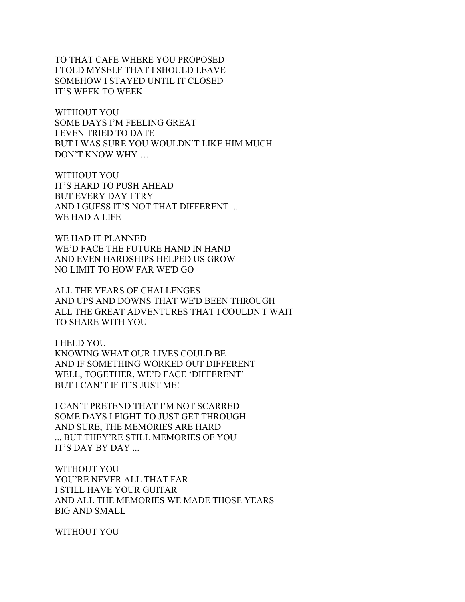TO THAT CAFE WHERE YOU PROPOSED I TOLD MYSELF THAT I SHOULD LEAVE SOMEHOW I STAYED UNTIL IT CLOSED IT'S WEEK TO WEEK

WITHOUT YOU SOME DAYS I'M FEELING GREAT I EVEN TRIED TO DATE BUT I WAS SURE YOU WOULDN'T LIKE HIM MUCH DON'T KNOW WHY …

WITHOUT YOU IT'S HARD TO PUSH AHEAD BUT EVERY DAY I TRY AND I GUESS IT'S NOT THAT DIFFERENT ... WE HAD A LIFE

WE HAD IT PLANNED WE'D FACE THE FUTURE HAND IN HAND AND EVEN HARDSHIPS HELPED US GROW NO LIMIT TO HOW FAR WE'D GO

ALL THE YEARS OF CHALLENGES AND UPS AND DOWNS THAT WE'D BEEN THROUGH ALL THE GREAT ADVENTURES THAT I COULDN'T WAIT TO SHARE WITH YOU

I HELD YOU KNOWING WHAT OUR LIVES COULD BE AND IF SOMETHING WORKED OUT DIFFERENT WELL, TOGETHER, WE'D FACE 'DIFFERENT' BUT I CAN'T IF IT'S JUST ME!

I CAN'T PRETEND THAT I'M NOT SCARRED SOME DAYS I FIGHT TO JUST GET THROUGH AND SURE, THE MEMORIES ARE HARD ... BUT THEY'RE STILL MEMORIES OF YOU IT'S DAY BY DAY ...

WITHOUT YOU YOU'RE NEVER ALL THAT FAR I STILL HAVE YOUR GUITAR AND ALL THE MEMORIES WE MADE THOSE YEARS BIG AND SMALL

WITHOUT YOU